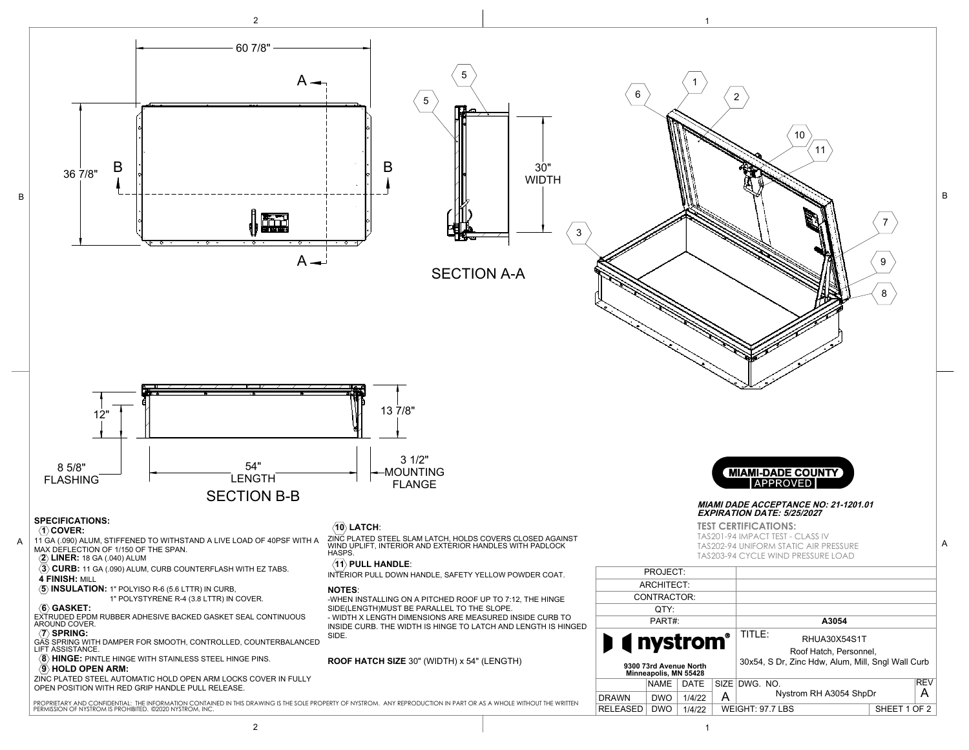